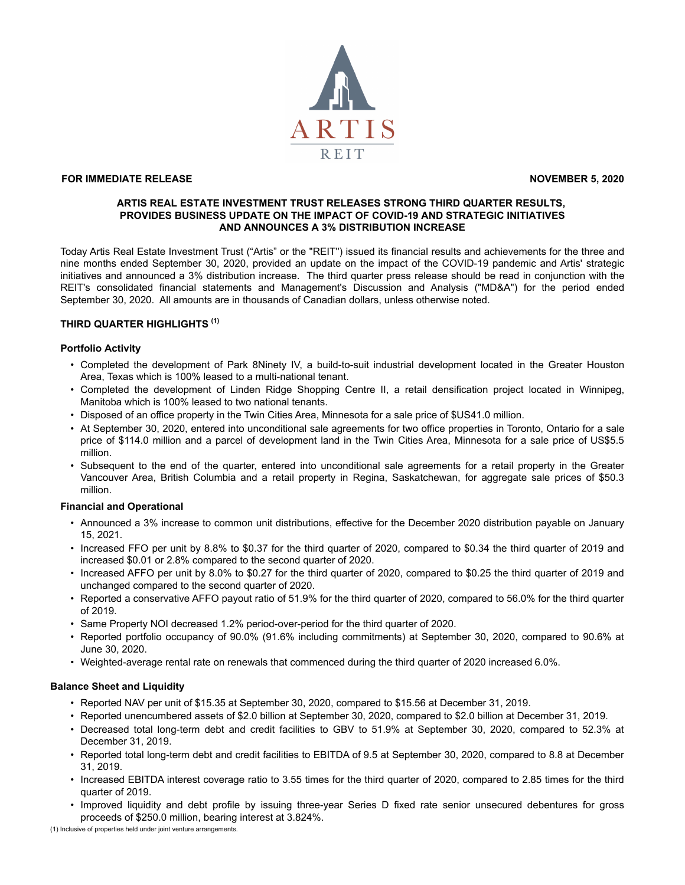

# **FOR IMMEDIATE RELEASE November 5, 2020**

## **ARTIS REAL ESTATE INVESTMENT TRUST RELEASES STRONG THIRD QUARTER RESULTS, PROVIDES BUSINESS UPDATE ON THE IMPACT OF COVID-19 AND STRATEGIC INITIATIVES AND ANNOUNCES A 3% DISTRIBUTION INCREASE**

Today Artis Real Estate Investment Trust ("Artis" or the "REIT") issued its financial results and achievements for the three and nine months ended September 30, 2020, provided an update on the impact of the COVID-19 pandemic and Artis' strategic initiatives and announced a 3% distribution increase. The third quarter press release should be read in conjunction with the REIT's consolidated financial statements and Management's Discussion and Analysis ("MD&A") for the period ended September 30, 2020. All amounts are in thousands of Canadian dollars, unless otherwise noted.

# **THIRD QUARTER HIGHLIGHTS (1)**

### **Portfolio Activity**

- Completed the development of Park 8Ninety IV, a build-to-suit industrial development located in the Greater Houston Area, Texas which is 100% leased to a multi-national tenant.
- Completed the development of Linden Ridge Shopping Centre II, a retail densification project located in Winnipeg, Manitoba which is 100% leased to two national tenants.
- Disposed of an office property in the Twin Cities Area, Minnesota for a sale price of \$US41.0 million.
- At September 30, 2020, entered into unconditional sale agreements for two office properties in Toronto, Ontario for a sale price of \$114.0 million and a parcel of development land in the Twin Cities Area, Minnesota for a sale price of US\$5.5 million.
- Subsequent to the end of the quarter, entered into unconditional sale agreements for a retail property in the Greater Vancouver Area, British Columbia and a retail property in Regina, Saskatchewan, for aggregate sale prices of \$50.3 million.

## **Financial and Operational**

- Announced a 3% increase to common unit distributions, effective for the December 2020 distribution payable on January 15, 2021.
- Increased FFO per unit by 8.8% to \$0.37 for the third quarter of 2020, compared to \$0.34 the third quarter of 2019 and increased \$0.01 or 2.8% compared to the second quarter of 2020.
- Increased AFFO per unit by 8.0% to \$0.27 for the third quarter of 2020, compared to \$0.25 the third quarter of 2019 and unchanged compared to the second quarter of 2020.
- Reported a conservative AFFO payout ratio of 51.9% for the third quarter of 2020, compared to 56.0% for the third quarter of 2019.
- Same Property NOI decreased 1.2% period-over-period for the third quarter of 2020.
- Reported portfolio occupancy of 90.0% (91.6% including commitments) at September 30, 2020, compared to 90.6% at June 30, 2020.
- Weighted-average rental rate on renewals that commenced during the third quarter of 2020 increased 6.0%.

#### **Balance Sheet and Liquidity**

- Reported NAV per unit of \$15.35 at September 30, 2020, compared to \$15.56 at December 31, 2019.
- Reported unencumbered assets of \$2.0 billion at September 30, 2020, compared to \$2.0 billion at December 31, 2019.
- Decreased total long-term debt and credit facilities to GBV to 51.9% at September 30, 2020, compared to 52.3% at December 31, 2019.
- Reported total long-term debt and credit facilities to EBITDA of 9.5 at September 30, 2020, compared to 8.8 at December 31, 2019.
- Increased EBITDA interest coverage ratio to 3.55 times for the third quarter of 2020, compared to 2.85 times for the third quarter of 2019.
- Improved liquidity and debt profile by issuing three-year Series D fixed rate senior unsecured debentures for gross proceeds of \$250.0 million, bearing interest at 3.824%.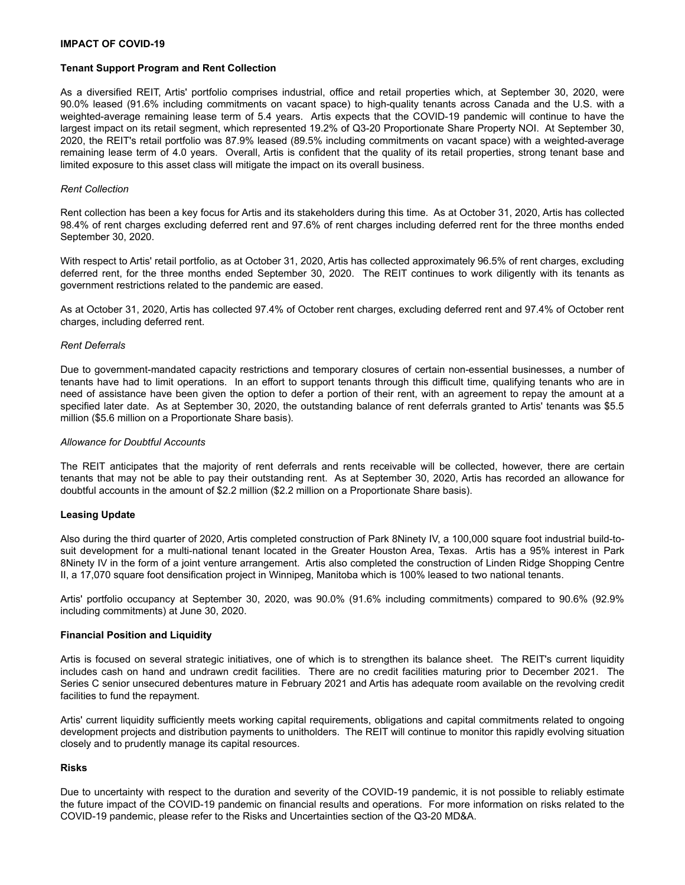## **Tenant Support Program and Rent Collection**

As a diversified REIT, Artis' portfolio comprises industrial, office and retail properties which, at September 30, 2020, were 90.0% leased (91.6% including commitments on vacant space) to high-quality tenants across Canada and the U.S. with a weighted-average remaining lease term of 5.4 years. Artis expects that the COVID-19 pandemic will continue to have the largest impact on its retail segment, which represented 19.2% of Q3-20 Proportionate Share Property NOI. At September 30, 2020, the REIT's retail portfolio was 87.9% leased (89.5% including commitments on vacant space) with a weighted-average remaining lease term of 4.0 years. Overall, Artis is confident that the quality of its retail properties, strong tenant base and limited exposure to this asset class will mitigate the impact on its overall business.

### *Rent Collection*

Rent collection has been a key focus for Artis and its stakeholders during this time. As at October 31, 2020, Artis has collected 98.4% of rent charges excluding deferred rent and 97.6% of rent charges including deferred rent for the three months ended September 30, 2020.

With respect to Artis' retail portfolio, as at October 31, 2020, Artis has collected approximately 96.5% of rent charges, excluding deferred rent, for the three months ended September 30, 2020. The REIT continues to work diligently with its tenants as government restrictions related to the pandemic are eased.

As at October 31, 2020, Artis has collected 97.4% of October rent charges, excluding deferred rent and 97.4% of October rent charges, including deferred rent.

### *Rent Deferrals*

Due to government-mandated capacity restrictions and temporary closures of certain non-essential businesses, a number of tenants have had to limit operations. In an effort to support tenants through this difficult time, qualifying tenants who are in need of assistance have been given the option to defer a portion of their rent, with an agreement to repay the amount at a specified later date. As at September 30, 2020, the outstanding balance of rent deferrals granted to Artis' tenants was \$5.5 million (\$5.6 million on a Proportionate Share basis).

#### *Allowance for Doubtful Accounts*

The REIT anticipates that the majority of rent deferrals and rents receivable will be collected, however, there are certain tenants that may not be able to pay their outstanding rent. As at September 30, 2020, Artis has recorded an allowance for doubtful accounts in the amount of \$2.2 million (\$2.2 million on a Proportionate Share basis).

#### **Leasing Update**

Also during the third quarter of 2020, Artis completed construction of Park 8Ninety IV, a 100,000 square foot industrial build-tosuit development for a multi-national tenant located in the Greater Houston Area, Texas. Artis has a 95% interest in Park 8Ninety IV in the form of a joint venture arrangement. Artis also completed the construction of Linden Ridge Shopping Centre II, a 17,070 square foot densification project in Winnipeg, Manitoba which is 100% leased to two national tenants.

Artis' portfolio occupancy at September 30, 2020, was 90.0% (91.6% including commitments) compared to 90.6% (92.9% including commitments) at June 30, 2020.

#### **Financial Position and Liquidity**

Artis is focused on several strategic initiatives, one of which is to strengthen its balance sheet. The REIT's current liquidity includes cash on hand and undrawn credit facilities. There are no credit facilities maturing prior to December 2021. The Series C senior unsecured debentures mature in February 2021 and Artis has adequate room available on the revolving credit facilities to fund the repayment.

Artis' current liquidity sufficiently meets working capital requirements, obligations and capital commitments related to ongoing development projects and distribution payments to unitholders. The REIT will continue to monitor this rapidly evolving situation closely and to prudently manage its capital resources.

## **Risks**

Due to uncertainty with respect to the duration and severity of the COVID-19 pandemic, it is not possible to reliably estimate the future impact of the COVID-19 pandemic on financial results and operations. For more information on risks related to the COVID-19 pandemic, please refer to the Risks and Uncertainties section of the Q3-20 MD&A.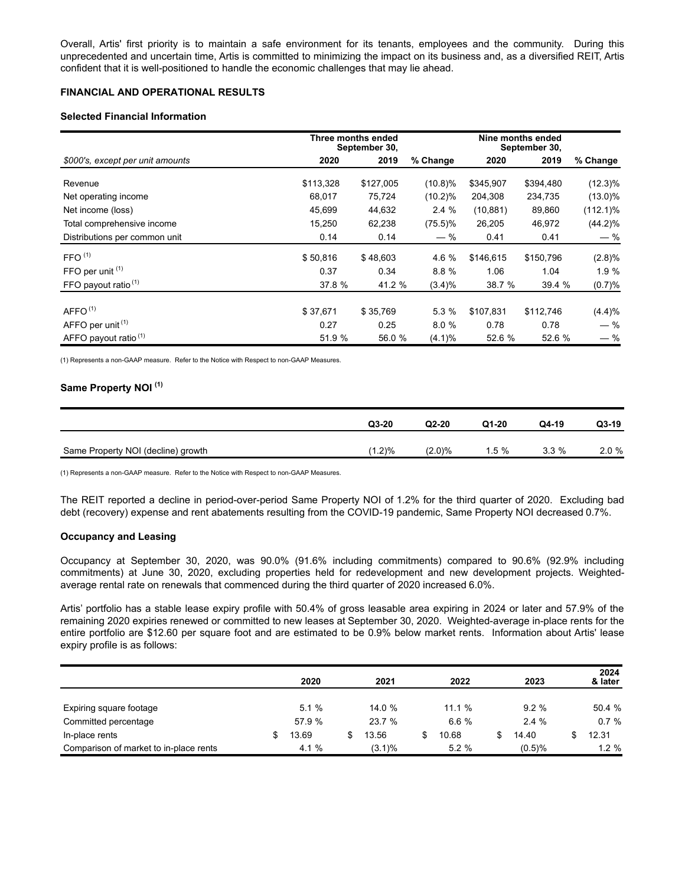Overall, Artis' first priority is to maintain a safe environment for its tenants, employees and the community. During this unprecedented and uncertain time, Artis is committed to minimizing the impact on its business and, as a diversified REIT, Artis confident that it is well-positioned to handle the economic challenges that may lie ahead.

# **FINANCIAL AND OPERATIONAL RESULTS**

## **Selected Financial Information**

|                                  |           | Three months ended<br>September 30, |            | Nine months ended<br>September 30, |           |             |
|----------------------------------|-----------|-------------------------------------|------------|------------------------------------|-----------|-------------|
| \$000's, except per unit amounts | 2020      | 2019                                | % Change   | 2020                               | 2019      | % Change    |
| Revenue                          | \$113,328 | \$127,005                           | $(10.8)\%$ | \$345,907                          | \$394,480 | $(12.3)\%$  |
| Net operating income             | 68,017    | 75,724                              | (10.2)%    | 204,308                            | 234,735   | $(13.0)\%$  |
| Net income (loss)                | 45,699    | 44,632                              | 2.4%       | (10, 881)                          | 89,860    | $(112.1)\%$ |
| Total comprehensive income       | 15,250    | 62,238                              | $(75.5)\%$ | 26,205                             | 46,972    | $(44.2)\%$  |
| Distributions per common unit    | 0.14      | 0.14                                | — %        | 0.41                               | 0.41      | $-$ %       |
| FFO <sup>(1)</sup>               | \$50,816  | \$48,603                            | 4.6 %      | \$146,615                          | \$150,796 | (2.8)%      |
| FFO per unit (1)                 | 0.37      | 0.34                                | 8.8 %      | 1.06                               | 1.04      | 1.9%        |
| FFO payout ratio <sup>(1)</sup>  | 37.8 %    | 41.2 %                              | (3.4)%     | 38.7 %                             | 39.4 %    | (0.7)%      |
|                                  |           |                                     |            |                                    |           |             |
| AFFO <sup>(1)</sup>              | \$37,671  | \$35,769                            | 5.3 %      | \$107,831                          | \$112,746 | (4.4)%      |
| AFFO per unit <sup>(1)</sup>     | 0.27      | 0.25                                | 8.0%       | 0.78                               | 0.78      | $-$ %       |
| AFFO payout ratio <sup>(1)</sup> | 51.9 %    | 56.0 %                              | (4.1)%     | 52.6 %                             | 52.6 %    | $-$ %       |

(1) Represents a non-GAAP measure. Refer to the Notice with Respect to non-GAAP Measures.

## **Same Property NOI (1)**

|                                    | $Q3-20$   | $Q2-20$   | $Q1-20$  | Q4-19   | Q3-19    |
|------------------------------------|-----------|-----------|----------|---------|----------|
| Same Property NOI (decline) growth | $(1.2)\%$ | $(2.0)\%$ | $1.5 \%$ | $3.3\%$ | $2.0 \%$ |

(1) Represents a non-GAAP measure. Refer to the Notice with Respect to non-GAAP Measures.

The REIT reported a decline in period-over-period Same Property NOI of 1.2% for the third quarter of 2020. Excluding bad debt (recovery) expense and rent abatements resulting from the COVID-19 pandemic, Same Property NOI decreased 0.7%.

### **Occupancy and Leasing**

Occupancy at September 30, 2020, was 90.0% (91.6% including commitments) compared to 90.6% (92.9% including commitments) at June 30, 2020, excluding properties held for redevelopment and new development projects. Weightedaverage rental rate on renewals that commenced during the third quarter of 2020 increased 6.0%.

Artis' portfolio has a stable lease expiry profile with 50.4% of gross leasable area expiring in 2024 or later and 57.9% of the remaining 2020 expiries renewed or committed to new leases at September 30, 2020. Weighted-average in-place rents for the entire portfolio are \$12.60 per square foot and are estimated to be 0.9% below market rents. Information about Artis' lease expiry profile is as follows:

|                                        | 2020   | 2021      | 2022  | 2023     | 2024<br>& later |
|----------------------------------------|--------|-----------|-------|----------|-----------------|
|                                        |        |           |       |          |                 |
| Expiring square footage                | 5.1%   | 14.0 %    | 11.1% | 9.2%     | 50.4 %          |
| Committed percentage                   | 57.9 % | 23.7%     | 6.6%  | $2.4 \%$ | 0.7%            |
| In-place rents                         | 13.69  | 13.56     | 10.68 | 14.40    | 12.31           |
| Comparison of market to in-place rents | 4.1%   | $(3.1)\%$ | 5.2%  | (0.5)%   | $1.2 \%$        |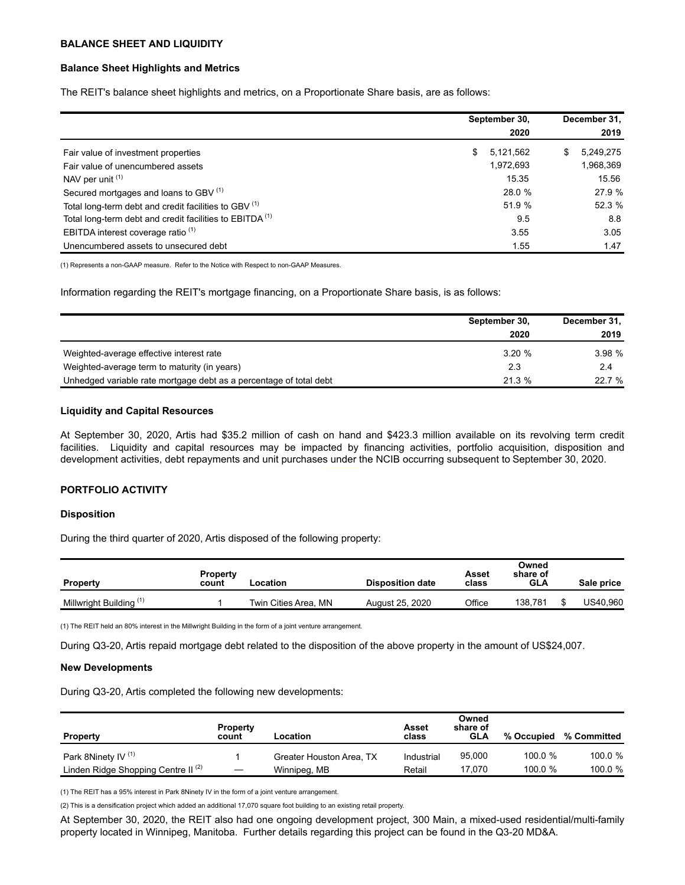### **BALANCE SHEET AND LIQUIDITY**

### **Balance Sheet Highlights and Metrics**

The REIT's balance sheet highlights and metrics, on a Proportionate Share basis, are as follows:

|                                                                     | September 30,<br>2020 |    | December 31,<br>2019 |
|---------------------------------------------------------------------|-----------------------|----|----------------------|
| Fair value of investment properties                                 | \$<br>5,121,562       | S. | 5,249,275            |
| Fair value of unencumbered assets                                   | 1,972,693             |    | 1,968,369            |
| NAV per unit (1)                                                    | 15.35                 |    | 15.56                |
| Secured mortgages and loans to GBV (1)                              | 28.0 %                |    | 27.9 %               |
| Total long-term debt and credit facilities to GBV (1)               | 51.9 %                |    | 52.3 %               |
| Total long-term debt and credit facilities to EBITDA <sup>(1)</sup> | 9.5                   |    | 8.8                  |
| EBITDA interest coverage ratio <sup>(1)</sup>                       | 3.55                  |    | 3.05                 |
| Unencumbered assets to unsecured debt                               | 1.55                  |    | 1.47                 |

(1) Represents a non-GAAP measure. Refer to the Notice with Respect to non-GAAP Measures.

Information regarding the REIT's mortgage financing, on a Proportionate Share basis, is as follows:

|                                                                    | September 30, | December 31, |
|--------------------------------------------------------------------|---------------|--------------|
|                                                                    | 2020          | 2019         |
| Weighted-average effective interest rate                           | 3.20%         | 3.98%        |
| Weighted-average term to maturity (in years)                       | 2.3           | 2.4          |
| Unhedged variable rate mortgage debt as a percentage of total debt | 21.3%         | 22.7 %       |

## **Liquidity and Capital Resources**

At September 30, 2020, Artis had \$35.2 million of cash on hand and \$423.3 million available on its revolving term credit facilities. Liquidity and capital resources may be impacted by financing activities, portfolio acquisition, disposition and development activities, debt repayments and unit purchases under the NCIB occurring subsequent to September 30, 2020.

#### **PORTFOLIO ACTIVITY**

### **Disposition**

During the third quarter of 2020, Artis disposed of the following property:

| <b>Property</b>                    | <b>Property</b><br>count | .ocation             | <b>Disposition date</b> | Asset<br>class | Owned<br>share of<br>GLA | Sale price |
|------------------------------------|--------------------------|----------------------|-------------------------|----------------|--------------------------|------------|
| Millwright Building <sup>(1)</sup> |                          | Twin Cities Area, MN | August 25, 2020         | Office         | 138.781                  | US40.960   |

(1) The REIT held an 80% interest in the Millwright Building in the form of a joint venture arrangement.

During Q3-20, Artis repaid mortgage debt related to the disposition of the above property in the amount of US\$24,007.

#### **New Developments**

During Q3-20, Artis completed the following new developments:

| <b>Property</b>                                | <b>Property</b><br>count | Location                 | Asset<br>class | Owned<br>share of<br>GLA | % Occupied | % Committed |
|------------------------------------------------|--------------------------|--------------------------|----------------|--------------------------|------------|-------------|
| Park 8Ninety IV <sup>(1)</sup>                 |                          | Greater Houston Area, TX | Industrial     | 95,000                   | 100.0%     | 100.0 %     |
| Linden Ridge Shopping Centre II <sup>(2)</sup> |                          | Winnipeg, MB             | Retail         | 17.070                   | 100.0 $%$  | 100.0 %     |

(1) The REIT has a 95% interest in Park 8Ninety IV in the form of a joint venture arrangement.

(2) This is a densification project which added an additional 17,070 square foot building to an existing retail property.

At September 30, 2020, the REIT also had one ongoing development project, 300 Main, a mixed-used residential/multi-family property located in Winnipeg, Manitoba. Further details regarding this project can be found in the Q3-20 MD&A.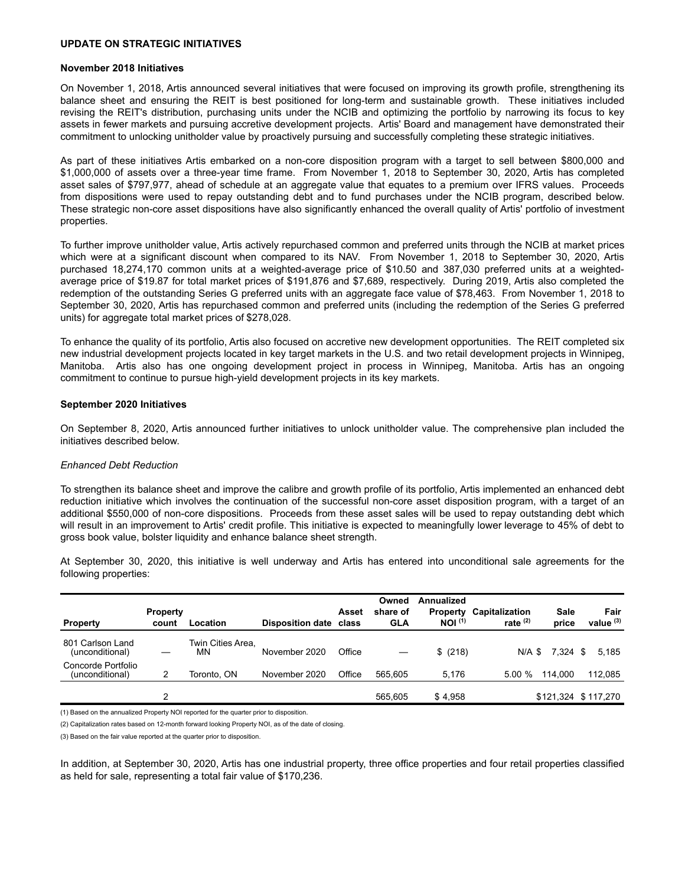### **UPDATE ON STRATEGIC INITIATIVES**

#### **November 2018 Initiatives**

On November 1, 2018, Artis announced several initiatives that were focused on improving its growth profile, strengthening its balance sheet and ensuring the REIT is best positioned for long-term and sustainable growth. These initiatives included revising the REIT's distribution, purchasing units under the NCIB and optimizing the portfolio by narrowing its focus to key assets in fewer markets and pursuing accretive development projects. Artis' Board and management have demonstrated their commitment to unlocking unitholder value by proactively pursuing and successfully completing these strategic initiatives.

As part of these initiatives Artis embarked on a non-core disposition program with a target to sell between \$800,000 and \$1,000,000 of assets over a three-year time frame. From November 1, 2018 to September 30, 2020, Artis has completed asset sales of \$797,977, ahead of schedule at an aggregate value that equates to a premium over IFRS values. Proceeds from dispositions were used to repay outstanding debt and to fund purchases under the NCIB program, described below. These strategic non-core asset dispositions have also significantly enhanced the overall quality of Artis' portfolio of investment properties.

To further improve unitholder value, Artis actively repurchased common and preferred units through the NCIB at market prices which were at a significant discount when compared to its NAV. From November 1, 2018 to September 30, 2020, Artis purchased 18,274,170 common units at a weighted-average price of \$10.50 and 387,030 preferred units at a weightedaverage price of \$19.87 for total market prices of \$191,876 and \$7,689, respectively. During 2019, Artis also completed the redemption of the outstanding Series G preferred units with an aggregate face value of \$78,463. From November 1, 2018 to September 30, 2020, Artis has repurchased common and preferred units (including the redemption of the Series G preferred units) for aggregate total market prices of \$278,028.

To enhance the quality of its portfolio, Artis also focused on accretive new development opportunities. The REIT completed six new industrial development projects located in key target markets in the U.S. and two retail development projects in Winnipeg, Manitoba. Artis also has one ongoing development project in process in Winnipeg, Manitoba. Artis has an ongoing commitment to continue to pursue high-yield development projects in its key markets.

#### **September 2020 Initiatives**

On September 8, 2020, Artis announced further initiatives to unlock unitholder value. The comprehensive plan included the initiatives described below.

### *Enhanced Debt Reduction*

To strengthen its balance sheet and improve the calibre and growth profile of its portfolio, Artis implemented an enhanced debt reduction initiative which involves the continuation of the successful non-core asset disposition program, with a target of an additional \$550,000 of non-core dispositions. Proceeds from these asset sales will be used to repay outstanding debt which will result in an improvement to Artis' credit profile. This initiative is expected to meaningfully lower leverage to 45% of debt to gross book value, bolster liquidity and enhance balance sheet strength.

At September 30, 2020, this initiative is well underway and Artis has entered into unconditional sale agreements for the following properties:

| <b>Property</b>                       | <b>Property</b><br>count | Location                | <b>Disposition date</b> | Asset<br>class | Owned<br>share of<br>GLA | Annualized<br>Property<br>NOI <sup>(1)</sup> | Capitalization<br>rate $(2)$ | Sale<br>price | Fair<br>value $(3)$ |
|---------------------------------------|--------------------------|-------------------------|-------------------------|----------------|--------------------------|----------------------------------------------|------------------------------|---------------|---------------------|
| 801 Carlson Land<br>(unconditional)   |                          | Twin Cities Area,<br>ΜN | November 2020           | Office         |                          | \$(218)                                      |                              | N/A \$ 7.324  | S<br>5.185          |
| Concorde Portfolio<br>(unconditional) |                          | Toronto. ON             | November 2020           | Office         | 565.605                  | 5.176                                        | $5.00 \%$                    | 114.000       | 112,085             |
|                                       | າ                        |                         |                         |                | 565.605                  | \$4,958                                      |                              |               | \$121,324 \$117,270 |

(1) Based on the annualized Property NOI reported for the quarter prior to disposition.

(2) Capitalization rates based on 12-month forward looking Property NOI, as of the date of closing.

(3) Based on the fair value reported at the quarter prior to disposition.

In addition, at September 30, 2020, Artis has one industrial property, three office properties and four retail properties classified as held for sale, representing a total fair value of \$170,236.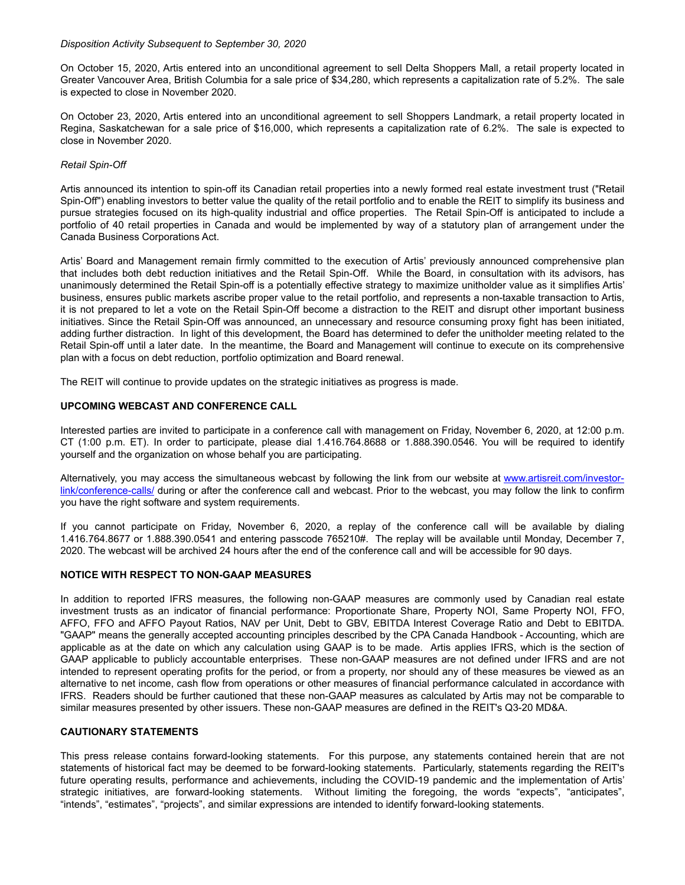#### *Disposition Activity Subsequent to September 30, 2020*

On October 15, 2020, Artis entered into an unconditional agreement to sell Delta Shoppers Mall, a retail property located in Greater Vancouver Area, British Columbia for a sale price of \$34,280, which represents a capitalization rate of 5.2%. The sale is expected to close in November 2020.

On October 23, 2020, Artis entered into an unconditional agreement to sell Shoppers Landmark, a retail property located in Regina, Saskatchewan for a sale price of \$16,000, which represents a capitalization rate of 6.2%. The sale is expected to close in November 2020.

### *Retail Spin-Off*

Artis announced its intention to spin-off its Canadian retail properties into a newly formed real estate investment trust ("Retail Spin-Off") enabling investors to better value the quality of the retail portfolio and to enable the REIT to simplify its business and pursue strategies focused on its high-quality industrial and office properties. The Retail Spin-Off is anticipated to include a portfolio of 40 retail properties in Canada and would be implemented by way of a statutory plan of arrangement under the Canada Business Corporations Act.

Artis' Board and Management remain firmly committed to the execution of Artis' previously announced comprehensive plan that includes both debt reduction initiatives and the Retail Spin-Off. While the Board, in consultation with its advisors, has unanimously determined the Retail Spin-off is a potentially effective strategy to maximize unitholder value as it simplifies Artis' business, ensures public markets ascribe proper value to the retail portfolio, and represents a non-taxable transaction to Artis, it is not prepared to let a vote on the Retail Spin-Off become a distraction to the REIT and disrupt other important business initiatives. Since the Retail Spin-Off was announced, an unnecessary and resource consuming proxy fight has been initiated, adding further distraction. In light of this development, the Board has determined to defer the unitholder meeting related to the Retail Spin-off until a later date. In the meantime, the Board and Management will continue to execute on its comprehensive plan with a focus on debt reduction, portfolio optimization and Board renewal.

The REIT will continue to provide updates on the strategic initiatives as progress is made.

## **UPCOMING WEBCAST AND CONFERENCE CALL**

Interested parties are invited to participate in a conference call with management on Friday, November 6, 2020, at 12:00 p.m. CT (1:00 p.m. ET). In order to participate, please dial 1.416.764.8688 or 1.888.390.0546. You will be required to identify yourself and the organization on whose behalf you are participating.

Alternatively, you may access the simultaneous webcast by following the link from our website at [www.artisreit.com/investor](http://www.artisreit.com/investor-link/conference-calls/)[link/conference-calls/](http://www.artisreit.com/investor-link/conference-calls/) during or after the conference call and webcast. Prior to the webcast, you may follow the link to confirm you have the right software and system requirements.

If you cannot participate on Friday, November 6, 2020, a replay of the conference call will be available by dialing 1.416.764.8677 or 1.888.390.0541 and entering passcode 765210#. The replay will be available until Monday, December 7, 2020. The webcast will be archived 24 hours after the end of the conference call and will be accessible for 90 days.

## **NOTICE WITH RESPECT TO NON-GAAP MEASURES**

In addition to reported IFRS measures, the following non-GAAP measures are commonly used by Canadian real estate investment trusts as an indicator of financial performance: Proportionate Share, Property NOI, Same Property NOI, FFO, AFFO, FFO and AFFO Payout Ratios, NAV per Unit, Debt to GBV, EBITDA Interest Coverage Ratio and Debt to EBITDA. "GAAP" means the generally accepted accounting principles described by the CPA Canada Handbook - Accounting, which are applicable as at the date on which any calculation using GAAP is to be made. Artis applies IFRS, which is the section of GAAP applicable to publicly accountable enterprises. These non-GAAP measures are not defined under IFRS and are not intended to represent operating profits for the period, or from a property, nor should any of these measures be viewed as an alternative to net income, cash flow from operations or other measures of financial performance calculated in accordance with IFRS. Readers should be further cautioned that these non-GAAP measures as calculated by Artis may not be comparable to similar measures presented by other issuers. These non-GAAP measures are defined in the REIT's Q3-20 MD&A.

# **CAUTIONARY STATEMENTS**

This press release contains forward-looking statements. For this purpose, any statements contained herein that are not statements of historical fact may be deemed to be forward-looking statements. Particularly, statements regarding the REIT's future operating results, performance and achievements, including the COVID-19 pandemic and the implementation of Artis' strategic initiatives, are forward-looking statements. Without limiting the foregoing, the words "expects", "anticipates", "intends", "estimates", "projects", and similar expressions are intended to identify forward-looking statements.